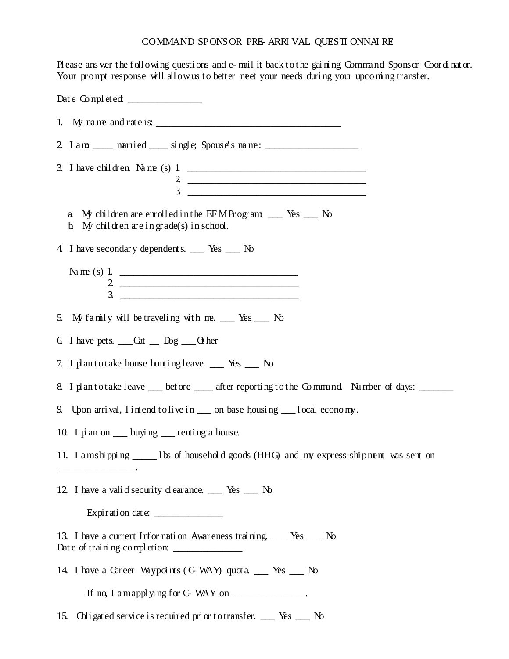## COMMAND SPONS OR PRE- ARRI VAL QUESTI ONNAI RE

Please ans wer the following questions and e-mail it back to the gaining Command Sponsor Coordinator.<br>Your prompt response will allow us to better meet your needs during your upcoming transfer.

| Date Completed:                                                                                                                                                                                                                  |
|----------------------------------------------------------------------------------------------------------------------------------------------------------------------------------------------------------------------------------|
| 1. My name and rate is: $\frac{1}{2}$ is the set of the set of the set of the set of the set of the set of the set of the set of the set of the set of the set of the set of the set of the set of the set of the set of the set |
| 2 I am ____ married ____ single; Spouse's name: ________________________________                                                                                                                                                 |
| 3. I have children Name (s) 1. $\qquad \qquad$<br>$\frac{2}{3}$                                                                                                                                                                  |
| My children are enrolled in the EFMProgram _ Yes _ No<br>a<br>b. My children are in grade(s) in school.                                                                                                                          |
| 4. I have secondary dependents. ___ Yes ___ No                                                                                                                                                                                   |
| $\frac{2}{3}$<br><u> 2000 - 2000 - 2000 - 2000 - 2000 - 2000 - 2000 - 2000 - 2000 - 2000 - 2000 - 2000 - 2000 - 2000 - 2000 - 200</u>                                                                                            |
| 5. My family will be traveling with me. __ Yes __ No                                                                                                                                                                             |
| 6. I have pet s. $\_\_$ Cat $\_\_$ Dog $\_\_$ O her                                                                                                                                                                              |
| 7. I plan to take house hunting leave. __ Yes __ No                                                                                                                                                                              |
| 8. I plantotake leave __ before __ after reporting to the Command Number of days: ____                                                                                                                                           |
| 9. Upon arrival, I intend to live in ____ on base housing ____ local economy.                                                                                                                                                    |
| 10. I plan on ____ buying ____ renting a house.                                                                                                                                                                                  |
| 11. I amshipping ______ lbs of household goods (HHG) and my express shipment was sent on                                                                                                                                         |
| 12. I have a valid security clearance. __ Yes __ No                                                                                                                                                                              |
| Expiration date:                                                                                                                                                                                                                 |
| 13. I have a current Information Awareness training __ Yes __ No                                                                                                                                                                 |
| 14. I have a Career Waypoints (C WAY) quot a __ Yes __ No                                                                                                                                                                        |
| If no, I a mapplying for C WAY on ______________.                                                                                                                                                                                |
| 15. Obligated service is required prior to transfer. __ Yes __ No                                                                                                                                                                |